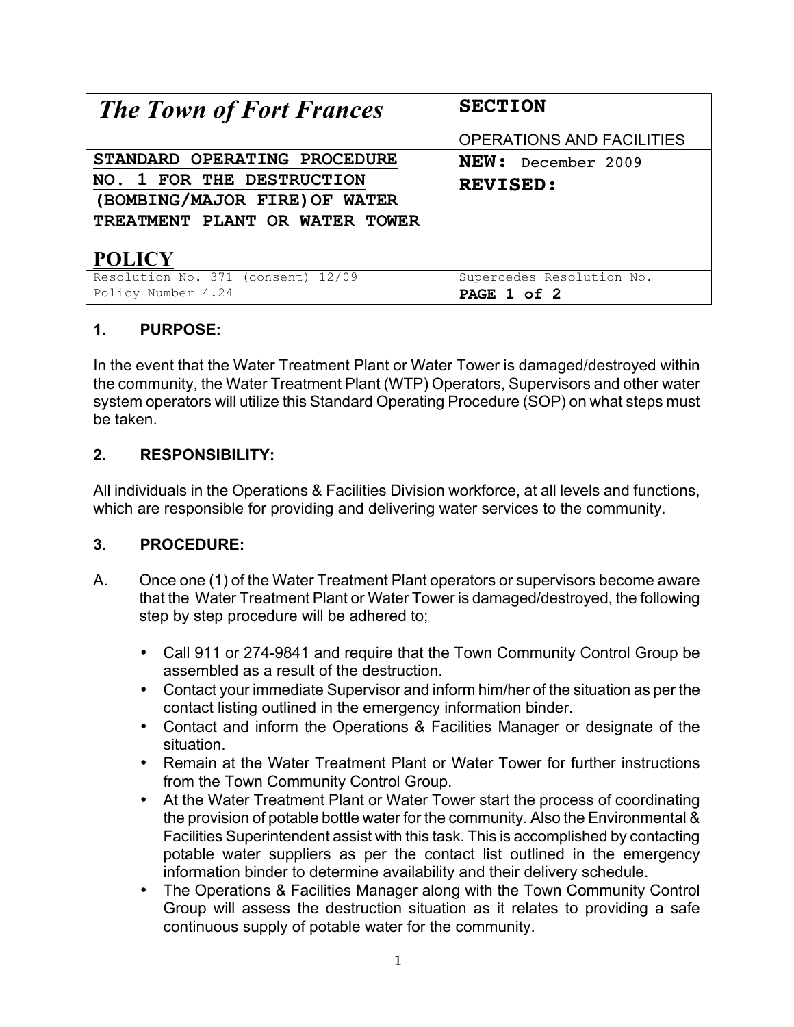| <b>The Town of Fort Frances</b>    | <b>SECTION</b>            |
|------------------------------------|---------------------------|
|                                    | OPERATIONS AND FACILITIES |
| STANDARD OPERATING PROCEDURE       | <b>NEW:</b> December 2009 |
| NO. 1 FOR THE DESTRUCTION          | <b>REVISED:</b>           |
| (BOMBING/MAJOR FIRE) OF WATER      |                           |
| TREATMENT PLANT OR WATER TOWER     |                           |
| <b>POLICY</b>                      |                           |
| Resolution No. 371 (consent) 12/09 | Supercedes Resolution No. |
| Policy Number 4.24                 | PAGE 1 of 2               |

## **1. PURPOSE:**

In the event that the Water Treatment Plant or Water Tower is damaged/destroyed within the community, the Water Treatment Plant (WTP) Operators, Supervisors and other water system operators will utilize this Standard Operating Procedure (SOP) on what steps must be taken.

## **2. RESPONSIBILITY:**

All individuals in the Operations & Facilities Division workforce, at all levels and functions, which are responsible for providing and delivering water services to the community.

## **3. PROCEDURE:**

- A. Once one (1) of the Water Treatment Plant operators or supervisors become aware that the Water Treatment Plant or Water Tower is damaged/destroyed, the following step by step procedure will be adhered to;
	- Call 911 or 274-9841 and require that the Town Community Control Group be assembled as a result of the destruction.
	- Contact your immediate Supervisor and inform him/her of the situation as per the contact listing outlined in the emergency information binder.
	- Contact and inform the Operations & Facilities Manager or designate of the situation.
	- Remain at the Water Treatment Plant or Water Tower for further instructions from the Town Community Control Group.
	- At the Water Treatment Plant or Water Tower start the process of coordinating the provision of potable bottle water for the community. Also the Environmental & Facilities Superintendent assist with this task. This is accomplished by contacting potable water suppliers as per the contact list outlined in the emergency information binder to determine availability and their delivery schedule.
	- The Operations & Facilities Manager along with the Town Community Control Group will assess the destruction situation as it relates to providing a safe continuous supply of potable water for the community.